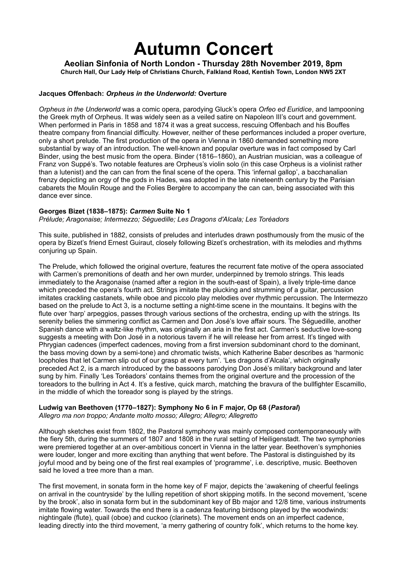## **Autumn Concert**

**Aeolian Sinfonia of North London - Thursday 28th November 2019, 8pm Church Hall, Our Lady Help of Christians Church, Falkland Road, Kentish Town, London NW5 2XT**

## **Jacques Offenbach:** *Orpheus in the Underworld:* **Overture**

*Orpheus in the Underworld* was a comic opera, parodying Gluck's opera *Orfeo ed Euridice*, and lampooning the Greek myth of Orpheus. It was widely seen as a veiled satire on Napoleon III's court and government. When performed in Paris in 1858 and 1874 it was a great success, rescuing Offenbach and his Bouffes theatre company from financial difficulty. However, neither of these performances included a proper overture, only a short prelude. The first production of the opera in Vienna in 1860 demanded something more substantial by way of an introduction. The well-known and popular overture was in fact composed by Carl Binder, using the best music from the opera. Binder (1816–1860), an Austrian musician, was a colleague of Franz von Suppé's. Two notable features are Orpheus's violin solo (in this case Orpheus is a violinist rather than a lutenist) and the can can from the final scene of the opera. This 'infernal gallop', a bacchanalian frenzy depicting an orgy of the gods in Hades, was adopted in the late nineteenth century by the Parisian cabarets the Moulin Rouge and the Folies Bergère to accompany the can can, being associated with this dance ever since.

## **Georges Bizet (1838‒1875):** *Carmen* **Suite No 1**

*Prélude; Aragonaise; Intermezzo; Séguedille; Les Dragons d'Alcala; Les Toréadors*

This suite, published in 1882, consists of preludes and interludes drawn posthumously from the music of the opera by Bizet's friend Ernest Guiraut, closely following Bizet's orchestration, with its melodies and rhythms conjuring up Spain.

The Prelude, which followed the original overture, features the recurrent fate motive of the opera associated with Carmen's premonitions of death and her own murder, underpinned by tremolo strings. This leads immediately to the Aragonaise (named after a region in the south-east of Spain), a lively triple-time dance which preceded the opera's fourth act. Strings imitate the plucking and strumming of a guitar, percussion imitates crackling castanets, while oboe and piccolo play melodies over rhythmic percussion. The Intermezzo based on the prelude to Act 3, is a nocturne setting a night-time scene in the mountains. It begins with the flute over 'harp' arpeggios, passes through various sections of the orchestra, ending up with the strings. Its serenity belies the simmering conflict as Carmen and Don José's love affair sours. The Séguedille, another Spanish dance with a waltz-like rhythm, was originally an aria in the first act. Carmen's seductive love-song suggests a meeting with Don José in a notorious tavern if he will release her from arrest. It's tinged with Phrygian cadences (imperfect cadences, moving from a first inversion subdominant chord to the dominant, the bass moving down by a semi-tone) and chromatic twists, which Katherine Baber describes as 'harmonic loopholes that let Carmen slip out of our grasp at every turn'. 'Les dragons d'Alcala', which originally preceded Act 2, is a march introduced by the bassoons parodying Don José's military background and later sung by him. Finally 'Les Toréadors' contains themes from the original overture and the procession of the toreadors to the bullring in Act 4. It's a festive, quick march, matching the bravura of the bullfighter Escamillo, in the middle of which the toreador song is played by the strings.

## **Ludwig van Beethoven (1770‒1827): Symphony No 6 in F major, Op 68 (***Pastoral***)** *Allegro ma non troppo; Andante molto mosso; Allegro; Allegro; Allegretto*

Although sketches exist from 1802, the Pastoral symphony was mainly composed contemporaneously with the fiery 5th, during the summers of 1807 and 1808 in the rural setting of Heiligenstadt. The two symphonies were premiered together at an over-ambitious concert in Vienna in the latter year. Beethoven's symphonies were louder, longer and more exciting than anything that went before. The Pastoral is distinguished by its joyful mood and by being one of the first real examples of 'programme', i.e. descriptive, music. Beethoven said he loved a tree more than a man.

The first movement, in sonata form in the home key of F major, depicts the 'awakening of cheerful feelings on arrival in the countryside' by the lulling repetition of short skipping motifs. In the second movement, 'scene by the brook', also in sonata form but in the subdominant key of Bb major and 12/8 time, various instruments imitate flowing water. Towards the end there is a cadenza featuring birdsong played by the woodwinds: nightingale (flute), quail (oboe) and cuckoo (clarinets). The movement ends on an imperfect cadence, leading directly into the third movement, 'a merry gathering of country folk', which returns to the home key.